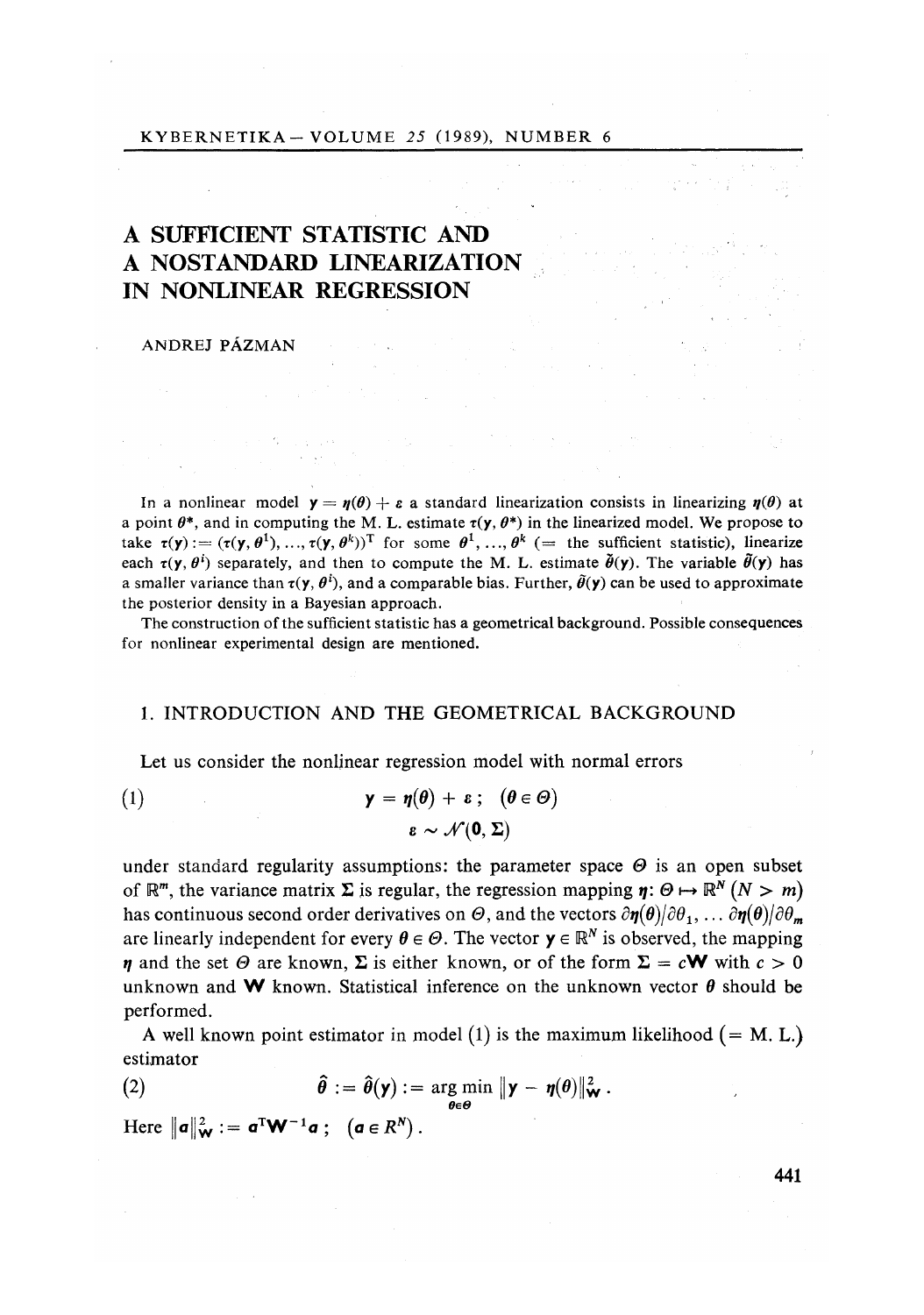#### KYBERNETIKA - VOLUME *25 (*1989), NUMBER 6

# A **SUFF**I**C**I**E**NT STATISTI**C** AND A NOSTANDARD LINEARIZATION IN NONLINEAR R**EG**R**ESS**ION

#### ANDREJ PÁZMAN

In a nonlinear model  $y = \eta(\theta) + \varepsilon$  a standard linearization consists in linearizing  $\eta(\theta)$  at a point  $\theta^*$ , and in computing the M. L. estimate  $\tau(\mathbf{y}, \theta^*)$  in the linearized model. We propose to take  $\tau(y) := (\tau(y, \theta^1), ..., \tau(y, \theta^k))^T$  for some  $\theta^1, ..., \theta^k$  (= the sufficient statistic), linearize each  $\tau(y, \theta^i)$  separately, and then to compute the M. L. estimate  $\tilde{\theta}(y)$ . The variable  $\tilde{\theta}(y)$  has a smaller variance than  $\tau(y, \theta^i)$ , and a comparable bias. Further,  $\tilde{\theta}(y)$  can be used to approximate the posterior density in a Bayesian approach.

The construction of the sufficient statistic has a geometrical background. Possible consequences for nonlinear experimental design are mentioned.

## 1. INTRODUCTION AND THE GEOMETRICAL BACKGROUND

Let us consider the nonlinear regression model with normal errors

(1) 
$$
\mathbf{y} = \eta(\theta) + \varepsilon; \quad (\theta \in \Theta)
$$

$$
\varepsilon \sim \mathcal{N}(\mathbf{0}, \Sigma)
$$

under standard regularity assumptions: the parameter space  $\Theta$  is an open subset of  $\mathbb{R}^m$ , the variance matrix  $\Sigma$  is regular, the regression mapping  $\eta: \Theta \mapsto \mathbb{R}^N (N > m)$ has continuous second order derivatives on  $\Theta$ , and the vectors  $\partial \eta(\theta)/\partial \theta_1$ , ...  $\partial \eta(\theta)/\partial \theta_m$ are linearly independent for every  $\theta \in \Theta$ . The vector  $y \in \mathbb{R}^N$  is observed, the mapping *n* and the set  $\Theta$  are known,  $\Sigma$  is either known, or of the form  $\Sigma = c$ **W** with  $c > 0$ unknown and **W** known. Statistical inference on the unknown vector  $\theta$  should be performed.

A well known point estimator in model (1) is the maximum likelihood  $(= M, L)$ estimator

(2) 
$$
\hat{\theta} := \hat{\theta}(\mathsf{y}) := \underset{\theta \in \Theta}{\arg \min} \|\mathsf{y} - \eta(\theta)\|_{\mathsf{w}}^2.
$$

Here  $\|\boldsymbol{a}\|_{\mathbf{W}}^2 := \boldsymbol{a}^{\mathrm{T}} \mathbf{W}^{-1} \boldsymbol{a}$ ;  $(\boldsymbol{a} \in R^N)$ .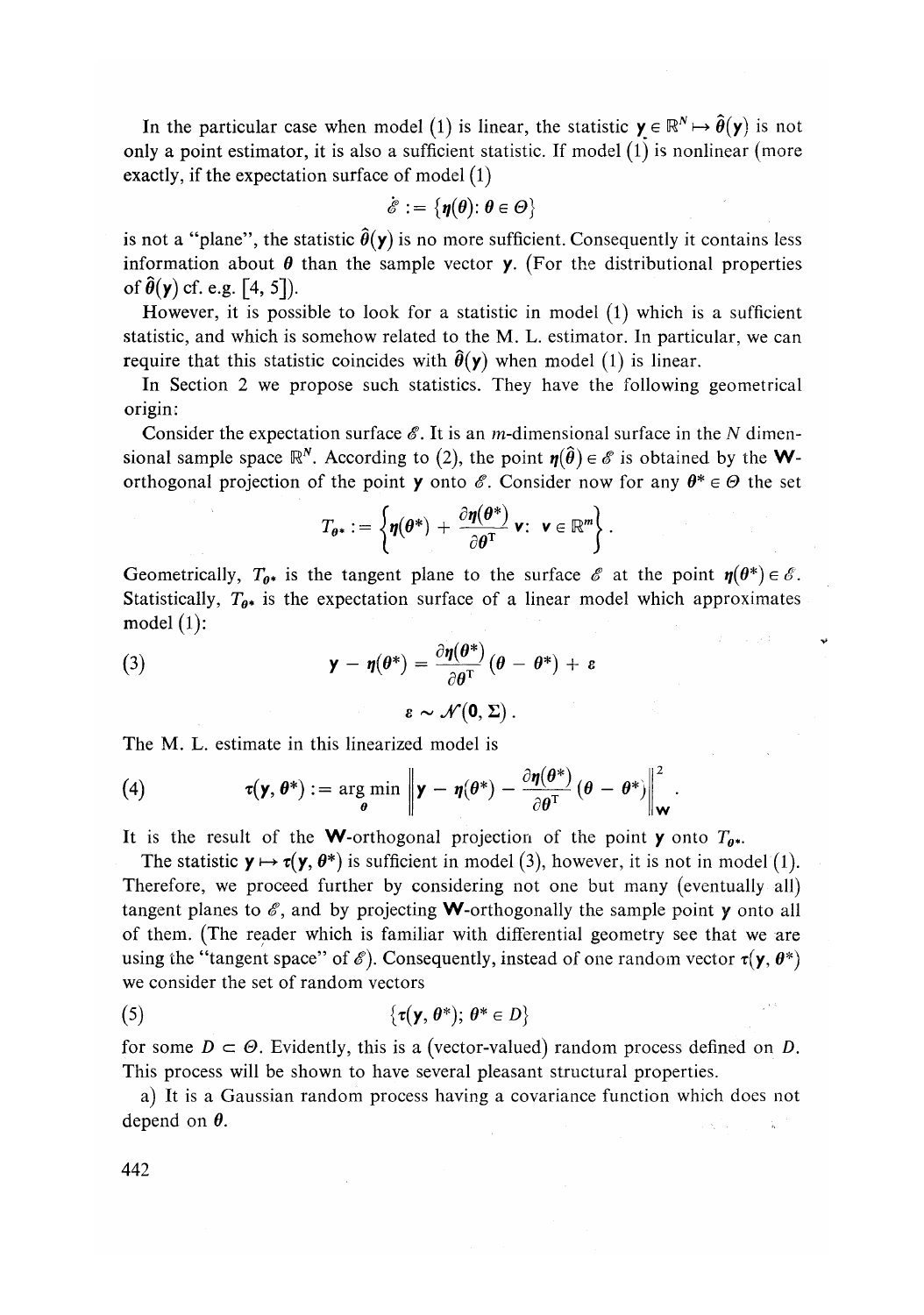In the particular case when model (1) is linear, the statistic  $y \in \mathbb{R}^N \mapsto \hat{\theta}(y)$  is not only a point estimator, it is also a sufficient statistic. If model (1) is nonlinear (more exactly, if the expectation surface of model  $(1)$ 

$$
\dot{\mathscr{E}} := \{ \boldsymbol{\eta}(\boldsymbol{\theta}) \colon \boldsymbol{\theta} \in \boldsymbol{\varTheta} \}
$$

is not a "plane", the statistic  $\hat{\theta}(y)$  is no more sufficient. Consequently it contains less information about  $\theta$  than the sample vector **y**. (For the distributional properties of  $\hat{\theta}(\mathbf{y})$  cf. e.g. [4, 5]).

However, it is possible to look for a statistic in model (1) which is a sufficient statistic, and which is somehow related to the M. L. estimator. In particular, we can require that this statistic coincides with  $\hat{\theta}(y)$  when model (1) is linear.

In Section 2 we propose such statistics. They have the following geometrical origin:

Consider the expectation surface *&.* It is an m-dimensional surface in the *N* dimensional sample space  $\mathbb{R}^N$ . According to (2), the point  $\eta(\hat{\theta}) \in \mathscr{E}$  is obtained by the **W**orthogonal projection of the point **y** onto  $\mathscr{E}$ . Consider now for any  $\theta^* \in \Theta$  the set

$$
T_{\theta^*} := \left\{ \eta(\theta^*) + \frac{\partial \eta(\theta^*)}{\partial \theta^T} \mathbf{v}: \ \mathbf{v} \in \mathbb{R}^m \right\}.
$$

Geometrically,  $T_{0^*}$  is the tangent plane to the surface  $\mathscr E$  at the point  $\eta(\theta^*) \in \mathscr E$ . Statistically,  $T_{\theta^*}$  is the expectation surface of a linear model which approximates model  $(1)$ :

(3) 
$$
\mathbf{y} - \eta(\theta^*) = \frac{\partial \eta(\theta^*)}{\partial \theta^T} (\theta - \theta^*) + \varepsilon
$$

$$
\varepsilon \sim \mathcal{N}(\mathbf{0}, \Sigma).
$$

The M. L. estimate in this linearized model is

(4) 
$$
\tau(\mathbf{y}, \theta^*) := \argmin_{\theta} \left\| \mathbf{y} - \eta(\theta^*) - \frac{\partial \eta(\theta^*)}{\partial \theta^T} (\theta - \theta^*) \right\|_{\mathbf{W}}^2.
$$

It is the result of the **W**-orthogonal projection of the point **y** onto  $T_{\theta^*}$ .

The statistic  $y \mapsto \tau(y, \theta^*)$  is sufficient in model (3), however, it is not in model (1). Therefore, we proceed further by considering not one but many (eventually all) tangent planes to  $\mathscr E$ , and by projecting **W**-orthogonally the sample point **y** onto all of them. (The reader which is familiar with differential geometry see that we are using the "tangent space" of  $\mathscr{E}$ ). Consequently, instead of one random vector  $\tau(\mathbf{y}, \theta^*)$ we consider the set of random vectors

$$
(5) \qquad \qquad {\{\tau(\mathbf{y},\theta^*);\,\theta^*\in D\}}
$$

for some  $D \subset \Theta$ . Evidently, this is a (vector-valued) random process defined on D. This process will be shown to have several pleasant structural properties.

a) It is a Gaussian random process having a covariance function which does not depend on  $\theta$ .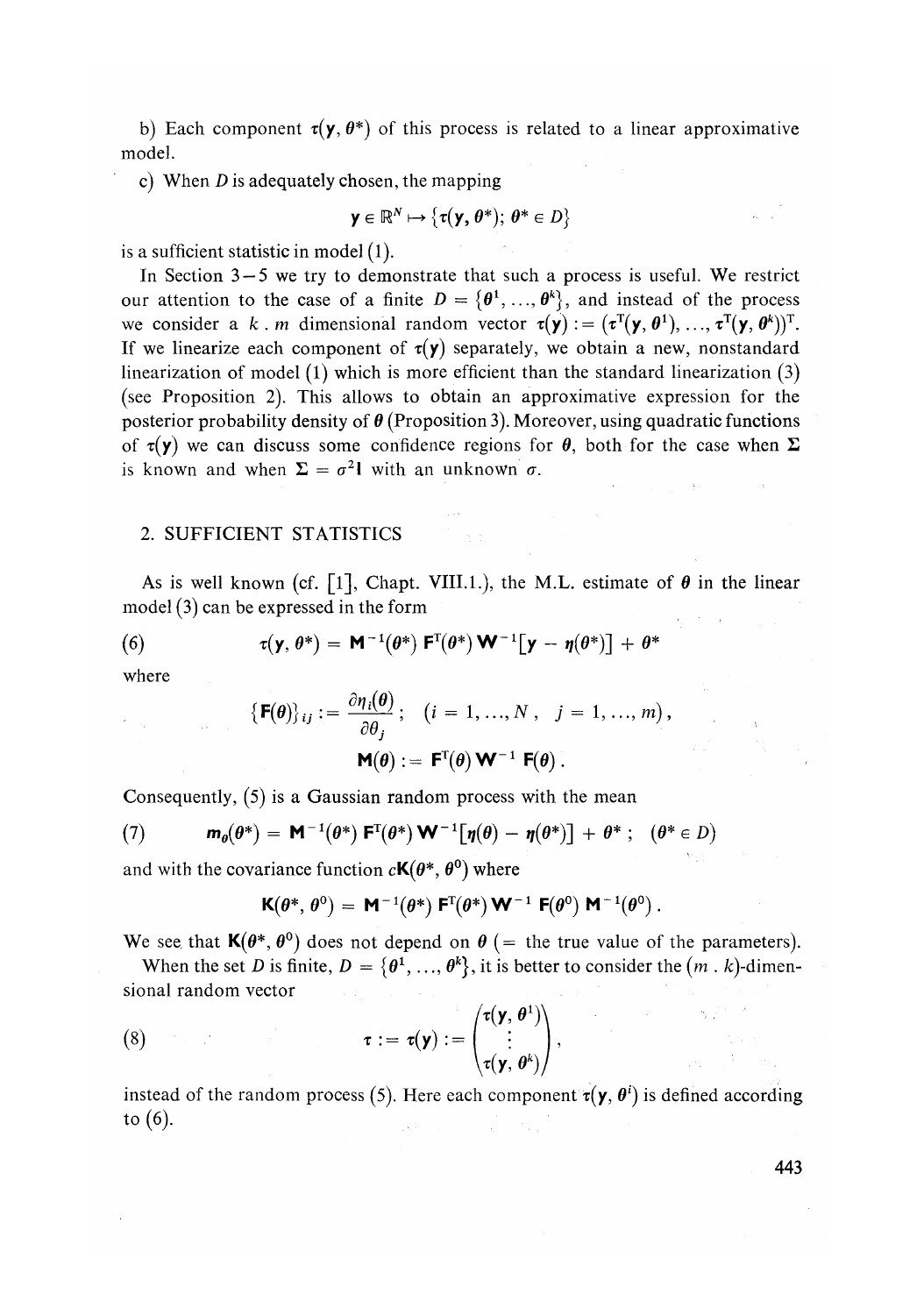b) Each component  $\tau(y, \theta^*)$  of this process is related to a linear approximative model.

c) When *D* is adequately chosen, the mapping

$$
\mathbf{y} \in \mathbb{R}^N \mapsto \{ \tau(\mathbf{y}, \theta^*) ; \ \theta^* \in D \}
$$

is a sufficient statistic in model (1).

In Section  $3-5$  we try to demonstrate that such a process is useful. We restrict our attention to the case of a finite  $D = \{\theta^1, ..., \theta^k\}$ , and instead of the process we consider a k . m dimensional random vector  $\tau(y) := (\tau^T(y, \theta^1), ..., \tau^T(y, \theta^k))^T$ . If we linearize each component of  $\tau(y)$  separately, we obtain a new, nonstandard linearization of model  $(1)$  which is more efficient than the standard linearization  $(3)$ (see Proposition 2). This allows to obtain an approximative expression for the posterior probability density of  $\theta$  (Proposition 3). Moreover, using quadratic functions of  $\tau(y)$  we can discuss some confidence regions for  $\theta$ , both for the case when  $\Sigma$ is known and when  $\Sigma = \sigma^2 \mathbf{l}$  with an unknown  $\sigma$ .

# *2.* SUFFICIENT STATISTICS

As is well known (cf. [1], Chapt. VIII.1.), the M.L. estimate of  $\theta$  in the linear model (3) can be expressed in the form

(6) 
$$
\tau(\mathbf{y},\theta^*) = \mathbf{M}^{-1}(\theta^*)\ \mathbf{F}^{\mathrm{T}}(\theta^*)\ \mathbf{W}^{-1}[\mathbf{y}-\eta(\theta^*)]+ \theta^*
$$

where

 $\gamma_{\rm{max}}$ 

$$
\begin{aligned} \left\{ \mathbf{F}(\boldsymbol{\theta}) \right\}_{ij} &:= \frac{\partial \eta_i(\boldsymbol{\theta})}{\partial \theta_j}; \quad (i = 1, ..., N \,, \quad j = 1, ..., m) \,, \\ \mathbf{M}(\boldsymbol{\theta}) &:= \mathbf{F}^{\mathrm{T}}(\boldsymbol{\theta}) \mathbf{W}^{-1} \mathbf{F}(\boldsymbol{\theta}) \,. \end{aligned}
$$

Consequently, (5) is a Gaussian random process with the mean

(7) 
$$
\mathbf{m}_{\theta}(\theta^*) = \mathbf{M}^{-1}(\theta^*) \mathbf{F}^{\mathrm{T}}(\theta^*) \mathbf{W}^{-1} [\eta(\theta) - \eta(\theta^*)] + \theta^* ; \quad (\theta^* \in D)
$$

and with the covariance function  $c\mathbf{K}(\theta^*, \theta^0)$  where

$$
\mathbf{K}(\boldsymbol{\theta}^*,\,\boldsymbol{\theta}^0)\,=\,\mathbf{M}^{-1}(\boldsymbol{\theta}^*)\;\mathbf{F}^{\!\mathrm{T}}\!\!\left(\boldsymbol{\theta}^*\right)\mathbf{W}^{-1}\;\mathbf{F}\!\!\left(\boldsymbol{\theta}^0\right)\mathbf{M}^{-1}\!\left(\boldsymbol{\theta}^0\right).
$$

We see that  $K(\theta^*, \theta^0)$  does not depend on  $\theta$  (= the true value of the parameters).

When the set *D* is finite,  $D = \{ \theta^1, ..., \theta^k \}$ , it is better to consider the  $(m \cdot k)$ -dimensional random vector

(8) 
$$
\tau := \tau(\mathbf{y}) := \begin{pmatrix} \tau(\mathbf{y}, \theta^1) \\ \vdots \\ \tau(\mathbf{y}, \theta^k) \end{pmatrix}
$$

instead of the random process (5). Here each component  $\tau(y, \theta')$  is defined according to (6).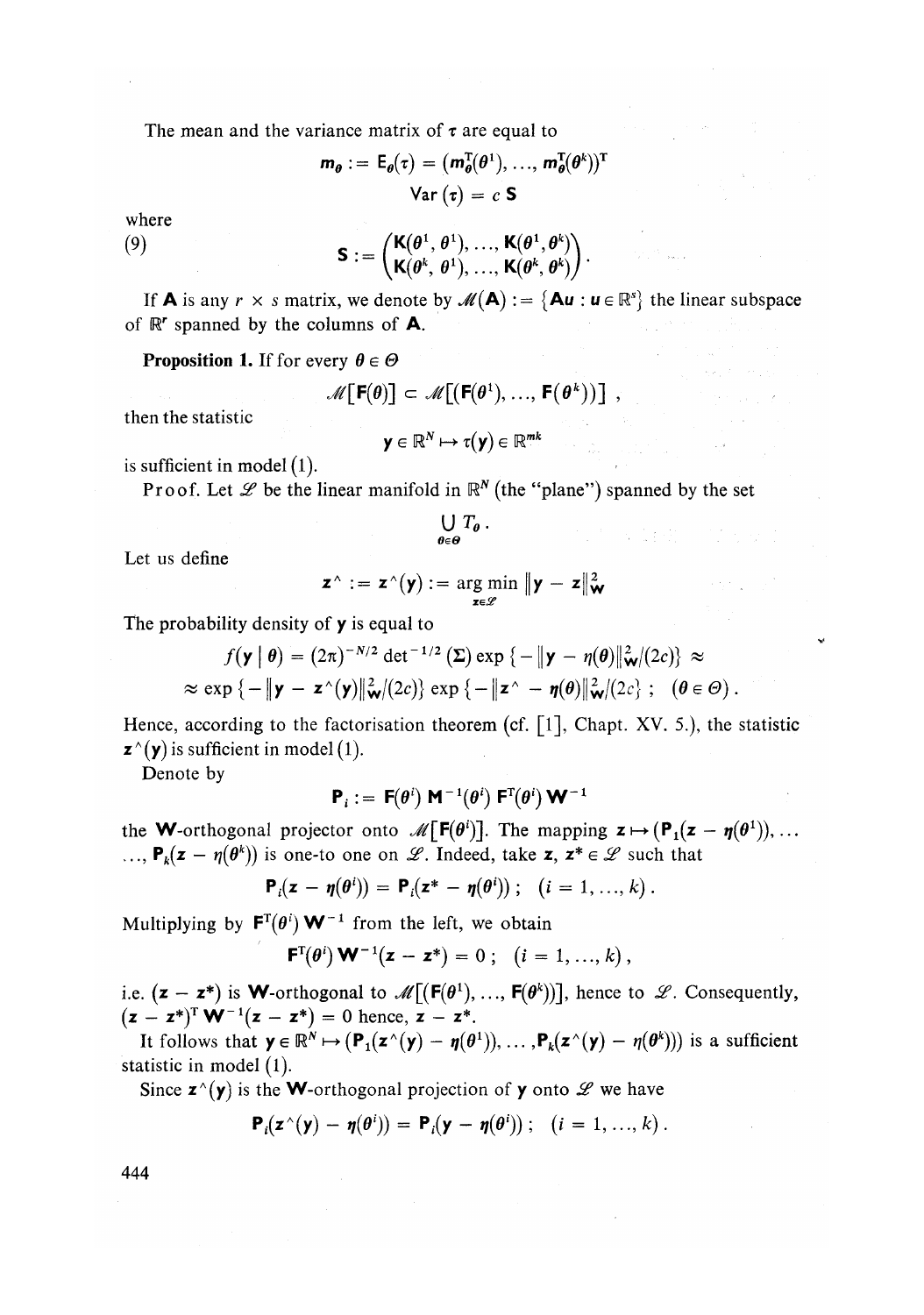The mean and the variance matrix of  $\tau$  are equal to

$$
m_{\theta} := \mathsf{E}_{\theta}(\tau) = (m_{\theta}^{T}(\theta^{1}), ..., m_{\theta}^{T}(\theta^{k}))^{T}
$$

$$
\text{Var}(\tau) = c \mathsf{S}
$$

where

(9) 
$$
\mathbf{S} := \begin{pmatrix} \mathbf{K}(\boldsymbol{\theta}^1, \boldsymbol{\theta}^1), \dots, \mathbf{K}(\boldsymbol{\theta}^1, \boldsymbol{\theta}^k) \\ \mathbf{K}(\boldsymbol{\theta}^k, \boldsymbol{\theta}^1), \dots, \mathbf{K}(\boldsymbol{\theta}^k, \boldsymbol{\theta}^k) \end{pmatrix}.
$$

If **A** is any  $r \times s$  matrix, we denote by  $\mathcal{M}(\mathbf{A}) := \{ \mathbf{A} \mathbf{u} : \mathbf{u} \in \mathbb{R}^s \}$  the linear subspace of  $\mathbb{R}^r$  spanned by the columns of **A**.

**Proposition 1.** If for every  $\theta \in \Theta$ 

$$
\mathscr{M}\big[\,\mathsf{F}(\theta)\big] \subset \mathscr{M}\big[\big(\mathsf{F}(\theta^1),\ldots,\,\mathsf{F}(\theta^k)\big)\big]\;,
$$

then the statistic

$$
\mathbf{y} \in \mathbb{R}^N \mapsto \tau(\mathbf{y}) \in \mathbb{R}^{mk}
$$

is sufficient in model  $(1)$ .

Proof. Let  $\mathscr L$  be the linear manifold in  $\mathbb R^N$  (the "plane") spanned by the set

$$
\bigcup_{\theta \in \Theta} T_{\theta} \ .
$$

Let us define

$$
\mathbf{z}^{\wedge} := \mathbf{z}^{\wedge}(\mathbf{y}) := \argmin_{\mathbf{z} \in \mathscr{L}} \| \mathbf{y} - \mathbf{z} \|_{\mathbf{W}}^2
$$

The probability density of  $y$  is equal to

$$
f(\mathbf{y} \mid \boldsymbol{\theta}) = (2\pi)^{-N/2} \det^{-1/2} (\boldsymbol{\Sigma}) \exp \{-\|\mathbf{y} - \boldsymbol{\eta}(\boldsymbol{\theta})\|_{\mathbf{W}}^2/(2c)\} \approx
$$
  
 
$$
\approx \exp \{-\|\mathbf{y} - \mathbf{z}^{\wedge}(\mathbf{y})\|_{\mathbf{W}}^2/(2c)\} \exp \{-\|\mathbf{z}^{\wedge} - \boldsymbol{\eta}(\boldsymbol{\theta})\|_{\mathbf{W}}^2/(2c)\}; \quad (\boldsymbol{\theta} \in \Theta).
$$

Hence, according to the factorisation theorem (cf.  $\lceil 1 \rceil$ , Chapt. XV. 5.), the statistic  $\mathbf{z}^{\wedge}(\mathbf{y})$  is sufficient in model (1).

Denote by

$$
\mathbf{P}_i := \mathbf{F}(\theta^i) \mathbf{M}^{-1}(\theta^i) \mathbf{F}^{\mathrm{T}}(\theta^i) \mathbf{W}^{-1}
$$

the **W**-orthogonal projector onto  $\mathcal{M}[\mathbf{F}(\theta^i)]$ . The mapping  $\mathbf{z} \mapsto (\mathbf{P}_1(\mathbf{z} - \mathbf{\eta}(\theta^1)), \dots$  $\ldots$ ,  $P_k(z - \eta(\theta^k))$  is one-to one on *L*. Indeed, take z,  $z^* \in \mathcal{L}$  such that

$$
\mathbf{P}_i(\mathbf{z}-\boldsymbol{\eta}(\boldsymbol{\theta}^i)) = \mathbf{P}_i(\mathbf{z}^* - \boldsymbol{\eta}(\boldsymbol{\theta}^i)) ; \quad (i=1,...,k).
$$

Multiplying by  $F^{T}(\theta^{i}) \mathbf{W}^{-1}$  from the left, we obtain

 $\mathbf{F}^{T}(\theta^{i}) \mathbf{W}^{-1}(\mathbf{z}-\mathbf{z}^{*}) = 0; \quad (i = 1, ..., k),$ 

i.e.  $(z - z^*)$  is **W**-orthogonal to  $\mathcal{M}[(F(\theta^1), ..., F(\theta^k))]$ , hence to  $\mathcal{L}$ . Consequently,  $(z - z^*)^T W^{-1}(z - z^*) = 0$  hence,  $z - z^*$ .

It follows that  $y \in \mathbb{R}^N \mapsto (P_1(z \wedge (y) - \eta(\theta^1)), \dots, P_k(z \wedge (y) - \eta(\theta^k)))$  is a sufficient statistic in model (1).

Since  $\mathbf{z}^{\wedge}(\mathbf{y})$  is the **W**-orthogonal projection of **y** onto  $\mathcal{L}$  we have

$$
\mathbf{P}_i(\mathbf{z}^{\wedge}(\mathbf{y}) - \boldsymbol{\eta}(\boldsymbol{\theta}^i)) = \mathbf{P}_i(\mathbf{y} - \boldsymbol{\eta}(\boldsymbol{\theta}^i)); \quad (i = 1, ..., k).
$$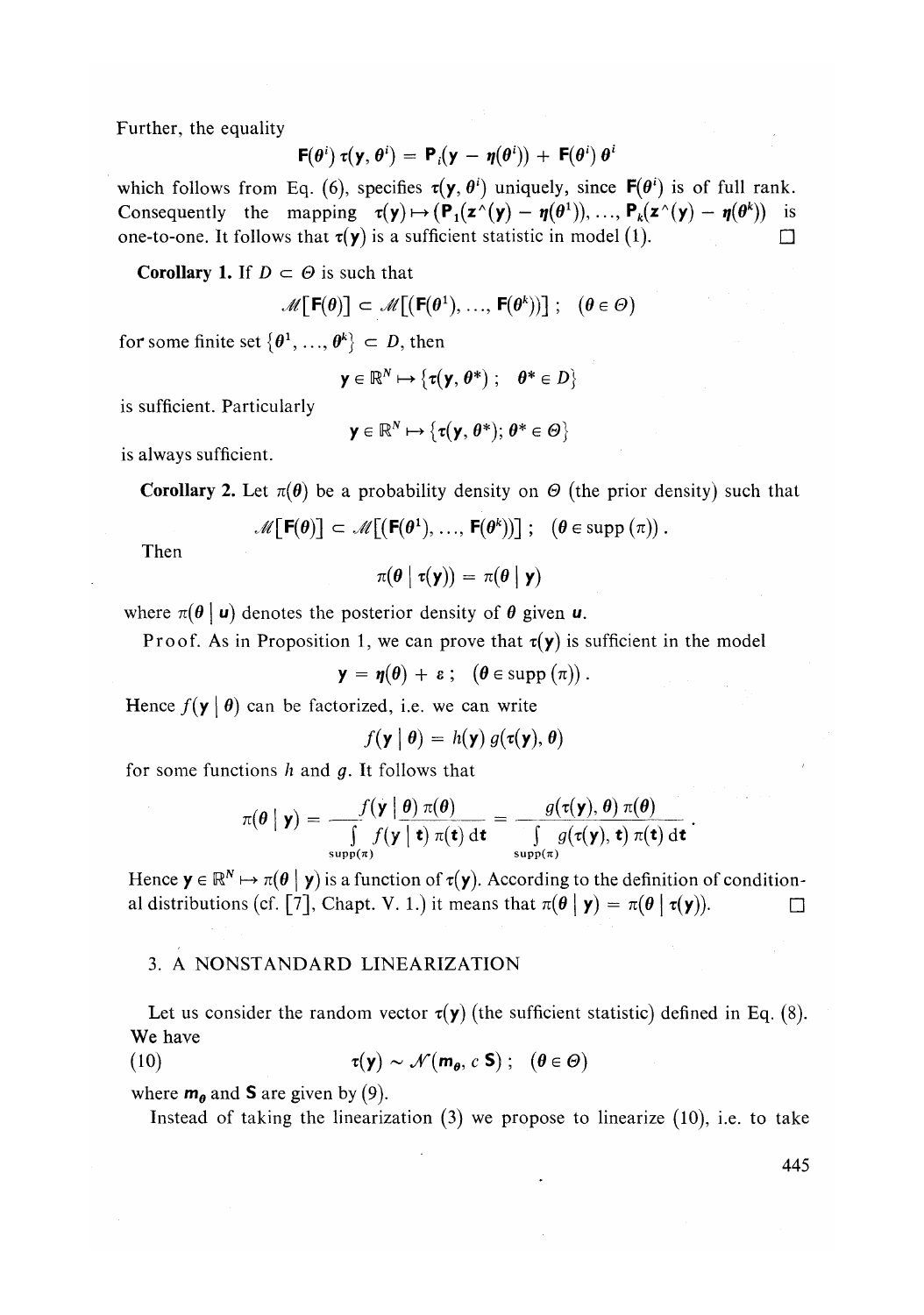Further, the equality

$$
\mathbf{F}(\theta^i) \ \tau(\mathbf{y},\theta^i) = \mathbf{P}_i(\mathbf{y} - \boldsymbol{\eta}(\theta^i)) + \mathbf{F}(\theta^i) \ \theta^i
$$

which follows from Eq. (6), specifies  $\tau(y, \theta^i)$  uniquely, since  $\mathbf{F}(\theta^i)$  is of full rank. Consequently the mapping  $\tau(y) \mapsto (P_1(z^{\wedge}(y) - \eta(\theta^1)),..., P_k(z^{\wedge}(y) - \eta(\theta^k))$  is one-to-one. It follows that  $\tau(y)$  is a sufficient statistic in model (1).

**Corollary 1.** If  $D \subset \Theta$  is such that

$$
\mathscr{M}\big[\,\mathsf{F}(\theta)\big]\, \subset\, \mathscr{M}\big[\big(\mathsf{F}(\theta^1),\, \ldots,\, \mathsf{F}(\theta^k)\big)\big]\,\,;\ \ \, (\theta\in\varTheta)
$$

for some finite set  $\{\theta^1, \ldots, \theta^k\} \subset D$ , then

$$
\mathbf{y} \in \mathbb{R}^N \mapsto \{ \tau(\mathbf{y}, \theta^*) ; \quad \theta^* \in D \}
$$

is sufficient. Particularly

$$
\mathbf{y} \in \mathbb{R}^N \mapsto \{ \tau(\mathbf{y}, \theta^*) ; \theta^* \in \Theta \}
$$

is always sufficient.

**Corollary 2.** Let  $\pi(\theta)$  be a probability density on  $\Theta$  (the prior density) such that

$$
\mathscr{M}\big[\,\mathsf{F}(\theta)\big] \subset \mathscr{M}\big[\big(\mathsf{F}(\theta^1),\,\ldots,\,\mathsf{F}(\theta^k)\big)\big]\;;\; \; (\theta\in\mathrm{supp}\,(\pi))\,.
$$

Then

$$
\pi(\boldsymbol{\theta} \mid \tau(\mathbf{y})) = \pi(\boldsymbol{\theta} \mid \mathbf{y})
$$

where  $\pi(\theta | u)$  denotes the posterior density of  $\theta$  given  $u$ .

Proof. As in Proposition 1, we can prove that  $\tau(y)$  is sufficient in the model

$$
\mathbf{y} = \mathbf{\eta}(\boldsymbol{\theta}) + \boldsymbol{\epsilon} ; \quad (\boldsymbol{\theta} \in \operatorname{supp} (\pi)) .
$$

Hence  $f(\mathbf{y} \mid \boldsymbol{\theta})$  can be factorized, i.e. we can write

$$
f(\mathbf{y} \mid \boldsymbol{\theta}) = h(\mathbf{y}) g(\tau(\mathbf{y}), \boldsymbol{\theta})
$$

for some functions *h* and *g.* It follows that

$$
\pi(\theta \mid \mathbf{y}) = \frac{f(\mathbf{y} \mid \theta) \pi(\theta)}{\int_{\text{supp}(\pi)} f(\mathbf{y} \mid \mathbf{t}) \pi(\mathbf{t}) \, d\mathbf{t}} = \frac{g(\tau(\mathbf{y}), \theta) \pi(\theta)}{\int_{\text{supp}(\pi)} g(\tau(\mathbf{y}), \mathbf{t}) \pi(\mathbf{t}) \, d\mathbf{t}}.
$$

Hence  $y \in \mathbb{R}^N \mapsto \pi(\theta | y)$  is a function of  $\tau(y)$ . According to the definition of conditional distributions (cf. [7], Chapt. V. 1.) it means that  $\pi(\theta | y) = \pi(\theta | \tau(y))$ .

### 3. A NONSTANDARD LINEARIZATION

Let us consider the random vector  $\tau(\mathbf{y})$  (the sufficient statistic) defined in Eq. (8). We have

(10)  $\tau(\mathbf{y}) \sim \mathcal{N}(\mathbf{m}_{\theta}, c \mathbf{S})$ ;  $(\theta \in \Theta)$ 

where  $m_{\theta}$  and **S** are given by (9).

Instead of taking the linearization  $(3)$  we propose to linearize  $(10)$ , i.e. to take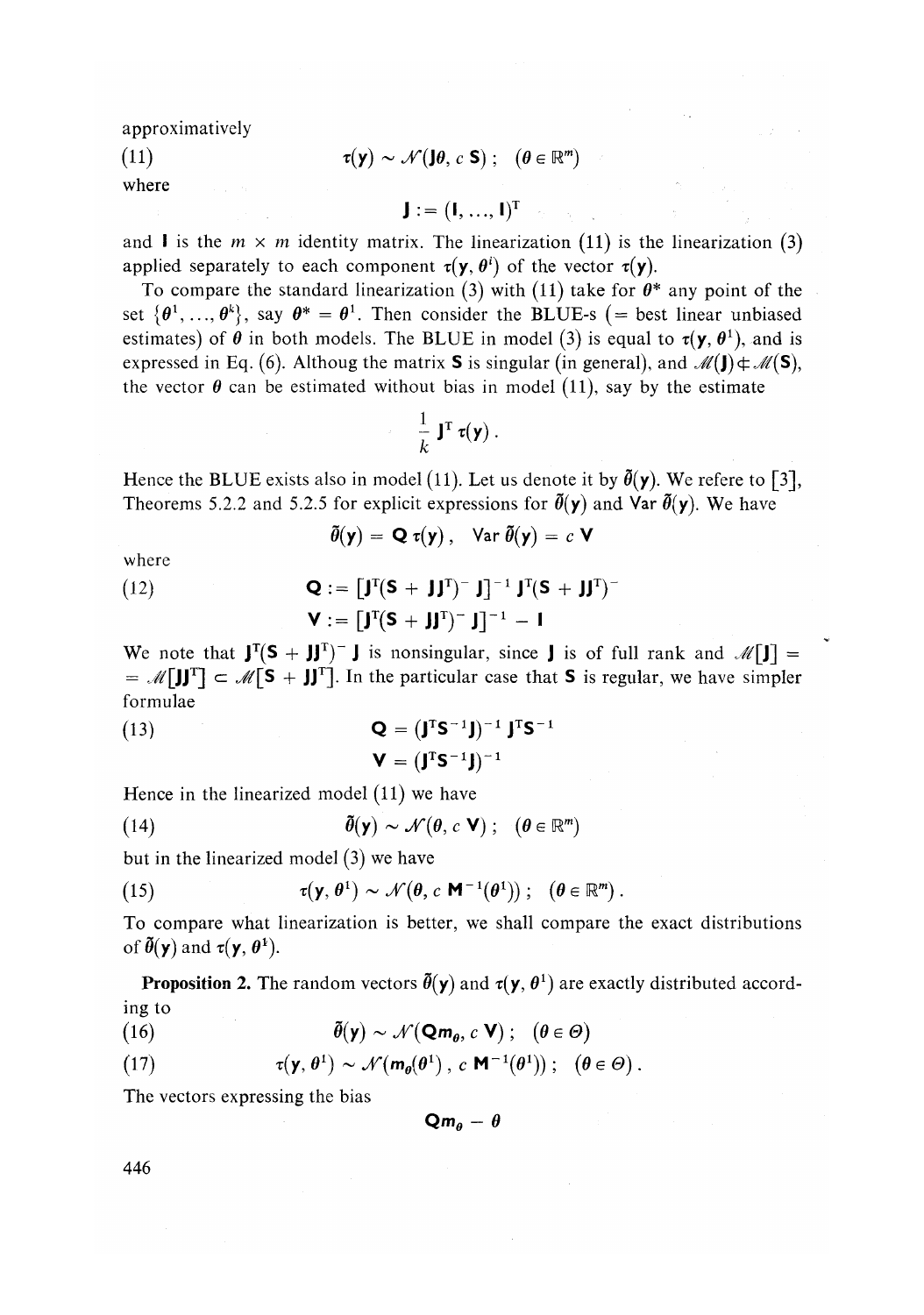approximative^

(11) 
$$
\tau(\mathbf{y}) \sim \mathcal{N}(\mathbf{J}\boldsymbol{\theta}, c \mathbf{S}); \quad (\boldsymbol{\theta} \in \mathbb{R}^m)
$$

where

 $J:=(I, ..., I)^{T}$ 

and **I** is the  $m \times m$  identity matrix. The linearization (11) is the linearization (3) applied separately to each component  $\tau(\mathbf{y}, \theta^i)$  of the vector  $\tau(\mathbf{y})$ .

To compare the standard linearization (3) with (11) take for  $\theta^*$  any point of the set  $\{\theta^1, \ldots, \theta^k\}$ , say  $\theta^* = \theta^1$ . Then consider the BLUE-s (= best linear unbiased estimates) of  $\theta$  in both models. The BLUE in model (3) is equal to  $\tau(y, \theta^1)$ , and is expressed in Eq. (6). Althoug the matrix **S** is singular (in general), and  $\mathcal{M}(\mathbf{J}) \notin \mathcal{M}(\mathbf{S})$ , the vector  $\theta$  can be estimated without bias in model (11), say by the estimate

$$
\frac{1}{k}\mathbf{J}^{\mathrm{T}}\,\mathbf{\tau}(\mathbf{y})\,.
$$

Hence the BLUE exists also in model (11). Let us denote it by  $\tilde{\theta}(y)$ . We refere to [3], Theorems 5.2.2 and 5.2.5 for explicit expressions for  $\tilde{\theta}(y)$  and Var  $\tilde{\theta}(y)$ . We have

$$
\tilde{\theta}(\mathbf{y}) = \mathbf{Q} \tau(\mathbf{y}), \quad \text{Var } \tilde{\theta}(\mathbf{y}) = c \mathbf{V}
$$

where  $(12)$ 

$$
\mathbf{Q} := \left[\mathbf{J}^{\mathrm{T}}(\mathbf{S} + \mathbf{J}\mathbf{J}^{\mathrm{T}})^{-} \mathbf{J}\right]^{-1} \mathbf{J}^{\mathrm{T}}(\mathbf{S} + \mathbf{J}\mathbf{J}^{\mathrm{T}})^{-}
$$

$$
\mathbf{V} := \left[\mathbf{J}^{\mathrm{T}}(\mathbf{S} + \mathbf{J}\mathbf{J}^{\mathrm{T}})^{-} \mathbf{J}\right]^{-1} - \mathbf{I}
$$

We note that  $J^{T}(S + JJ^{T})^{-}$  J is nonsingular, since J is of full rank and  $\mathcal{M}[J] =$  $= \mathcal{M}[\mathbf{J}]\mathbf{J}^T] \subset \mathcal{M}[\mathbf{S} + \mathbf{J}\mathbf{J}^T]$ . In the particular case that **S** is regular, we have simpler formulae

(13) 
$$
\mathbf{Q} = (\mathbf{J}^T \mathbf{S}^{-1} \mathbf{J})^{-1} \mathbf{J}^T \mathbf{S}^{-1}
$$

$$
\mathbf{V} = (\mathbf{J}^T \mathbf{S}^{-1} \mathbf{J})^{-1}
$$

Hence in the linearized model (11) we have

(14) 
$$
\tilde{\boldsymbol{\theta}}(\mathbf{y}) \sim \mathcal{N}(\boldsymbol{\theta}, c \mathbf{V}); \quad (\boldsymbol{\theta} \in \mathbb{R}^m)
$$

but in the linearized model (3) we have

(15) 
$$
\tau(\mathbf{y}, \theta^1) \sim \mathcal{N}(\theta, c \mathbf{M}^{-1}(\theta^1)); \quad (\theta \in \mathbb{R}^m).
$$

To compare what linearization is better, we shall compare the exact distributions of  $\tilde{\theta}(\mathbf{y})$  and  $\tau(\mathbf{y}, \theta^1)$ .

**Proposition 2.** The random vectors  $\tilde{\theta}(\mathbf{y})$  and  $\tau(\mathbf{y}, \theta^1)$  are exactly distributed according to

(16)  $\tilde{\theta}(\mathbf{y}) \sim \mathcal{N}(\mathbf{Q}\mathbf{m}_{\theta}, c \mathbf{V})$ ; ( $\theta \in \Theta$ )

(17) 
$$
\tau(\mathbf{y}, \theta^1) \sim \mathcal{N}(m_{\theta}(\theta^1), c \mathbf{M}^{-1}(\theta^1)); (\theta \in \Theta).
$$

The vectors expressing the bias

 $Qm_{\theta} - \theta$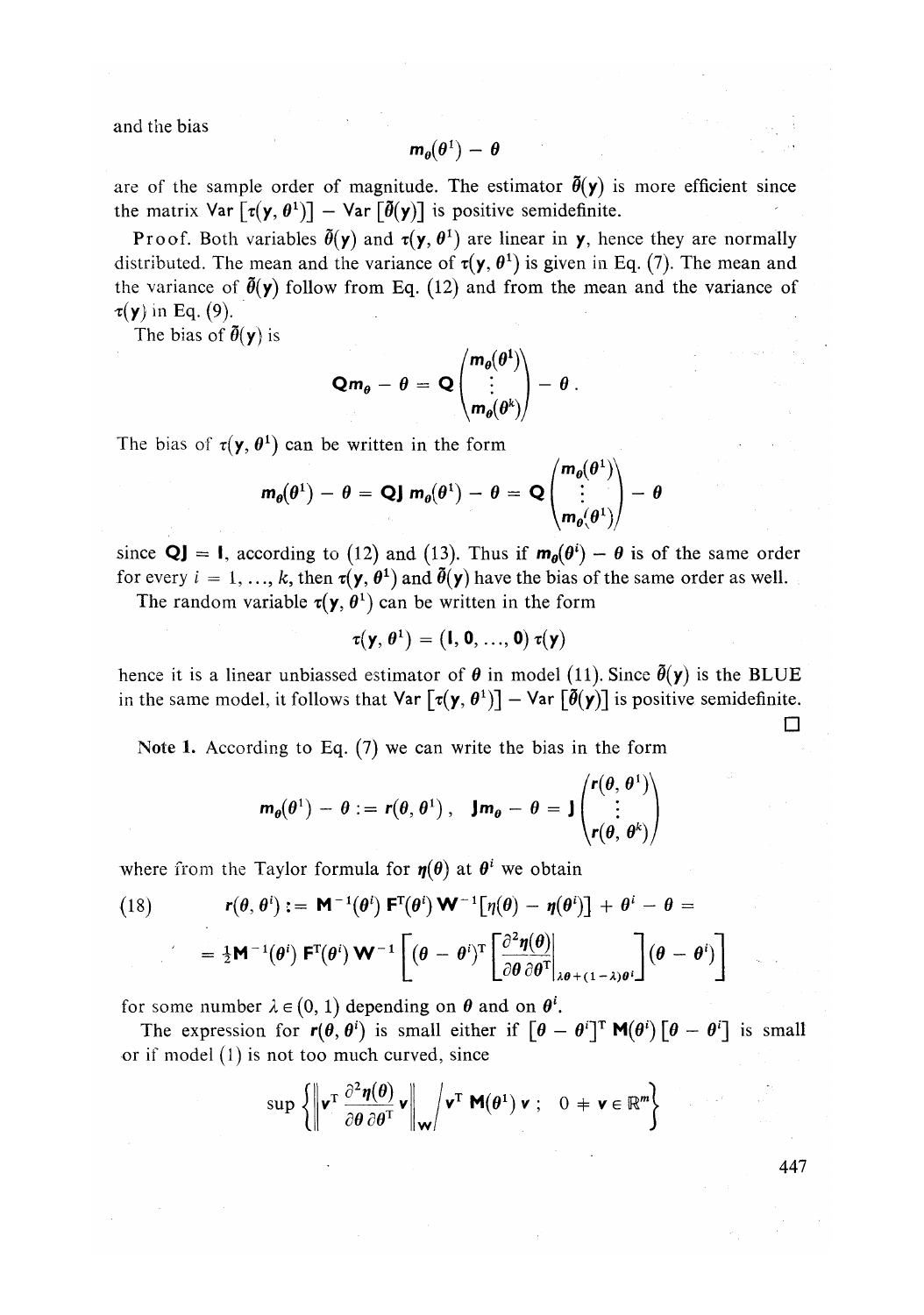and the bias

$$
\mathbf{m}_{\theta}(\theta^1) - \theta
$$

are of the sample order of magnitude. The estimator  $\bar{\theta}(y)$  is more efficient since the matrix Var  $[\tau(\mathbf{y}, \theta^1)] - \text{Var}[\tilde{\theta}(\mathbf{y})]$  is positive semidefinite.

Proof. Both variables  $\bar{\theta}(y)$  and  $\tau(y, \theta^1)$  are linear in y, hence they are normally distributed. The mean and the variance of  $\tau(y, \theta^1)$  is given in Eq. (7). The mean and the variance of  $\tilde{\theta}(y)$  follow from Eq. (12) and from the mean and the variance of  $\tau(\mathbf{y})$  in Eq. (9).

The bias of  $\tilde{\theta}(y)$  is

$$
Qm_{\theta} - \theta = Q\begin{pmatrix} m_{\theta}(\theta^1) \\ \vdots \\ m_{\theta}(\theta^k) \end{pmatrix} - \theta.
$$

The bias of  $\tau(y, \theta^1)$  can be written in the form

$$
m_{\theta}(\theta^1) - \theta = QJ m_{\theta}(\theta^1) - \theta = Q \begin{pmatrix} m_{\theta}(\theta^1) \\ \vdots \\ m_{\theta}(\theta^1) \end{pmatrix} - \theta
$$

since  $Q$ **]** = **I**, according to (12) and (13). Thus if  $m_{\theta}(\theta^i) - \theta$  is of the same order for every  $i = 1, ..., k$ , then  $\tau(\mathbf{y}, \theta^1)$  and  $\bar{\theta}(\mathbf{y})$  have the bias of the same order as well.

The random variable  $\tau(y, \theta^1)$  can be written in the form

$$
\tau(\mathbf{y},\theta^1)=(\mathbf{I},\mathbf{0},...,\mathbf{0})\,\tau(\mathbf{y})
$$

hence it is a linear unbiassed estimator of  $\theta$  in model (11). Since  $\tilde{\theta}(y)$  is the BLUE in the same model, it follows that  $\text{Var}\left[\tau(\mathbf{y}, \theta^1)\right] - \text{Var}\left[\tilde{\theta}(\mathbf{y})\right]$  is positive semidefinite.

Note 1. According to Eq. (7) we can write the bias in the form

$$
\mathbf{m}_{\theta}(\theta^1) - \theta := \mathbf{r}(\theta, \theta^1), \quad \mathbf{J}\mathbf{m}_{\theta} - \theta = \mathbf{J} \begin{pmatrix} \mathbf{r}(\theta, \theta^1) \\ \vdots \\ \mathbf{r}(\theta, \theta^k) \end{pmatrix}
$$

where from the Taylor formula for  $\eta(\sigma)$  at  $\sigma$  we obtain

(18) 
$$
\mathbf{r}(\theta, \theta^i) := \mathbf{M}^{-1}(\theta^i) \mathbf{F}^{\mathrm{T}}(\theta^i) \mathbf{W}^{-1} [\eta(\theta) - \eta(\theta^i)] + \theta^i - \theta =
$$

$$
= \frac{1}{2} \mathbf{M}^{-1}(\theta^i) \mathbf{F}^{\mathrm{T}}(\theta^i) \mathbf{W}^{-1} \left[ (\theta - \theta^i)^{\mathrm{T}} \left[ \frac{\partial^2 \eta(\theta)}{\partial \theta \partial \theta^{\mathrm{T}}}\Big|_{\lambda \theta + (1 - \lambda)\theta^i} \right] (\theta - \theta^i) \right]
$$

for some number  $\lambda \in (0, 1)$  depending on  $\theta$  and on  $\theta^i$ .

The expression for  $r(\theta, \theta^i)$  is small either if  $\left[\theta - \theta^i\right]$ <sup>T</sup> **M**( $\theta^i$ )  $\left[\theta - \theta^i\right]$  is small or if model  $(1)$  is not too much curved, since

$$
\sup \left\{ \left\| \mathbf{v}^{\mathrm{T}} \frac{\partial^2 \boldsymbol{\eta}(\boldsymbol{\theta})}{\partial \boldsymbol{\theta} \partial \boldsymbol{\theta}^{\mathrm{T}}} \mathbf{v} \right\|_{\mathbf{W}} \middle/ \mathbf{v}^{\mathrm{T}} \mathbf{M}(\boldsymbol{\theta}^1) \mathbf{v} ; \quad 0 \neq \mathbf{v} \in \mathbb{R}^m \right\}
$$

447

**•**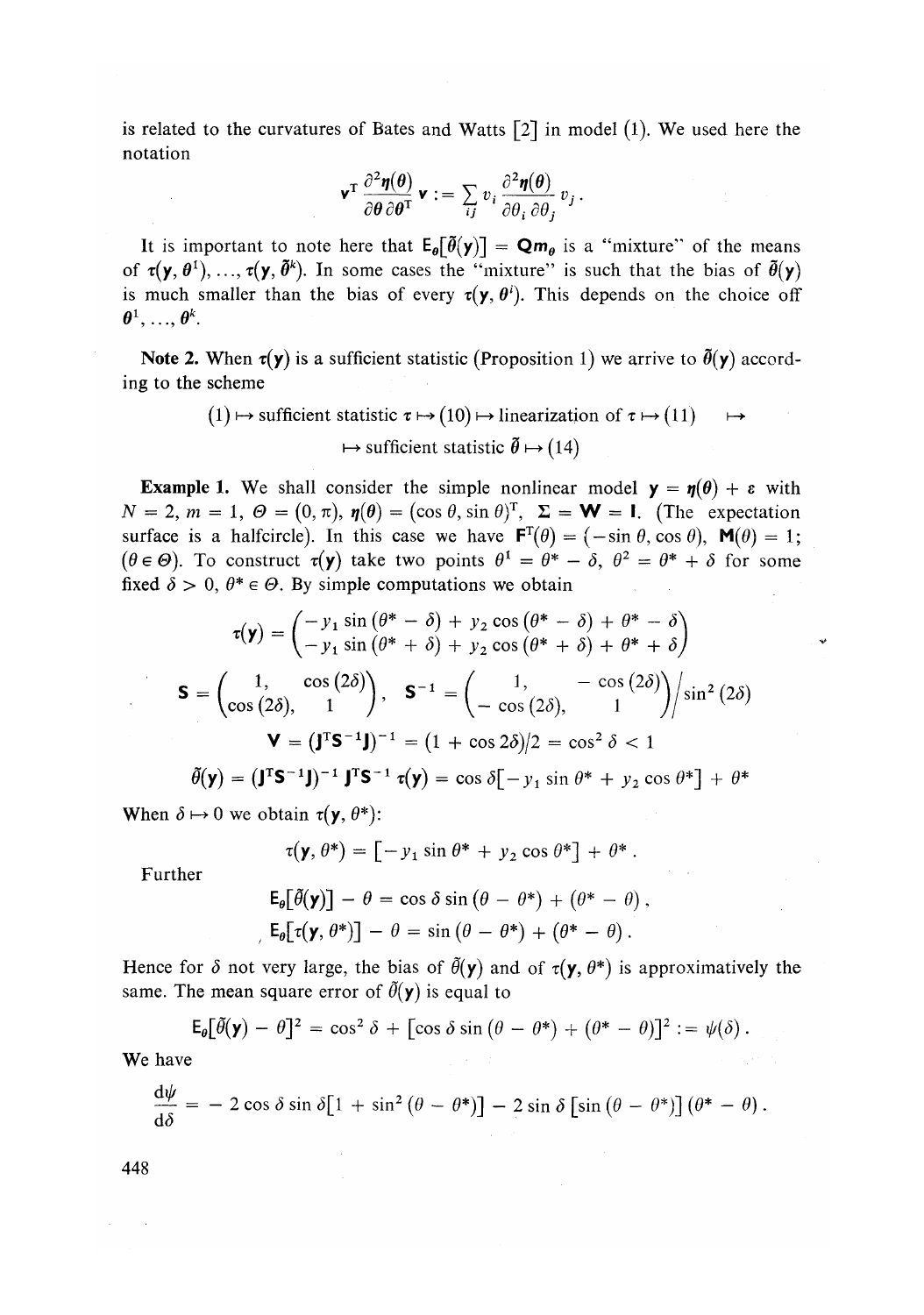is related to the curvatures of Bates and Watts  $\lceil 2 \rceil$  in model (1). We used here the notation

$$
\mathbf{v}^{\mathrm{T}} \frac{\partial^2 \boldsymbol{\eta}(\boldsymbol{\theta})}{\partial \boldsymbol{\theta} \partial \boldsymbol{\theta}^{\mathrm{T}}} \mathbf{v} := \sum_{ij} v_i \frac{\partial^2 \boldsymbol{\eta}(\boldsymbol{\theta})}{\partial \theta_i \partial \theta_j} v_j.
$$

It is important to note here that  $E_{\theta}[\tilde{\theta}(\mathbf{y})] = \mathbf{Q}\mathbf{m}_{\theta}$  is a "mixture" of the means of  $\tau(y, \theta^1), \ldots, \tau(y, \tilde{\theta}^k)$ . In some cases the "mixture" is such that the bias of  $\tilde{\theta}(y)$ is much smaller than the bias of every  $\tau(y, \theta^i)$ . This depends on the choice off  $\boldsymbol{\theta}^1, \ldots, \boldsymbol{\theta}$ 

**Note 2.** When  $\tau(y)$  is a sufficient statistic (Proposition 1) we arrive to  $\tilde{\theta}(y)$  according to the scheme

$$
(1) \mapsto \text{ sufficient statistic } \tau \mapsto (10) \mapsto \text{linearization of } \tau \mapsto (11) \quad \mapsto \quad \qquad \mapsto \text{ sufficient statistic } \tilde{\theta} \mapsto (14)
$$

**Example 1.** We shall consider the simple nonlinear model  $y = \eta(\theta) + \varepsilon$  with  $N = 2, m = 1, \Theta = (0, \pi), \eta(\theta) = (\cos \theta, \sin \theta)^T, \Sigma = W = I.$  (The expectation surface is a halfcircle). In this case we have  $\mathbf{F}^T(\theta) = (-\sin \theta, \cos \theta)$ ,  $\mathbf{M}(\theta) = 1$ ;  $(\theta \in \Theta)$ . To construct  $\tau(\mathbf{y})$  take two points  $\theta^1 = \theta^* - \delta$ ,  $\theta^2 = \theta^* + \delta$  for some fixed  $\delta > 0$ ,  $\theta^* \in \Theta$ . By simple computations we obtain

$$
\tau(\mathbf{y}) = \begin{pmatrix} -y_1 \sin(\theta^* - \delta) + y_2 \cos(\theta^* - \delta) + \theta^* - \delta \\ -y_1 \sin(\theta^* + \delta) + y_2 \cos(\theta^* + \delta) + \theta^* + \delta \end{pmatrix}
$$
  
\n
$$
\mathbf{S} = \begin{pmatrix} 1, & \cos(2\delta) \\ \cos(2\delta), & 1 \end{pmatrix}, \quad \mathbf{S}^{-1} = \begin{pmatrix} 1, & -\cos(2\delta) \\ -\cos(2\delta), & 1 \end{pmatrix} / \sin^2(2\delta)
$$
  
\n
$$
\mathbf{V} = (\mathbf{J}^T \mathbf{S}^{-1} \mathbf{J})^{-1} = (1 + \cos 2\delta) / 2 = \cos^2 \delta < 1
$$
  
\n
$$
\tilde{\theta}(\mathbf{y}) = (\mathbf{J}^T \mathbf{S}^{-1} \mathbf{J})^{-1} \mathbf{J}^T \mathbf{S}^{-1} \tau(\mathbf{y}) = \cos \delta[-y_1 \sin \theta^* + y_2 \cos \theta^*] + \theta^*
$$

When  $\delta \mapsto 0$  we obtain  $\tau(\mathbf{y}, \theta^*)$ :

$$
\tau(\mathbf{y},\theta^*) = [-y_1 \sin \theta^* + y_2 \cos \theta^*] + \theta^*.
$$

Further

$$
\mathsf{E}_{\theta}[\tilde{\theta}(\mathsf{y})] - \theta = \cos \delta \sin (\theta - \theta^*) + (\theta^* - \theta),
$$
  

$$
\mathsf{E}_{\theta}[\tau(\mathsf{y}, \theta^*)] - \theta = \sin (\theta - \theta^*) + (\theta^* - \theta).
$$

Hence for  $\delta$  not very large, the bias of  $\tilde{\theta}(\mathbf{y})$  and of  $\tau(\mathbf{y}, \theta^*)$  is approximatively the same. The mean square error of  $\tilde{\theta}(y)$  is equal to

$$
\mathsf{E}_{\theta}[\tilde{\theta}(\mathsf{y}) - \theta]^2 = \cos^2 \delta + [\cos \delta \sin (\theta - \theta^*) + (\theta^* - \theta)]^2 := \psi(\delta).
$$

We have

$$
\frac{d\psi}{d\delta} = -2\cos\delta\sin\delta[1+\sin^2(\theta-\theta^*)]-2\sin\delta\left[\sin(\theta-\theta^*)\right](\theta^*-\theta).
$$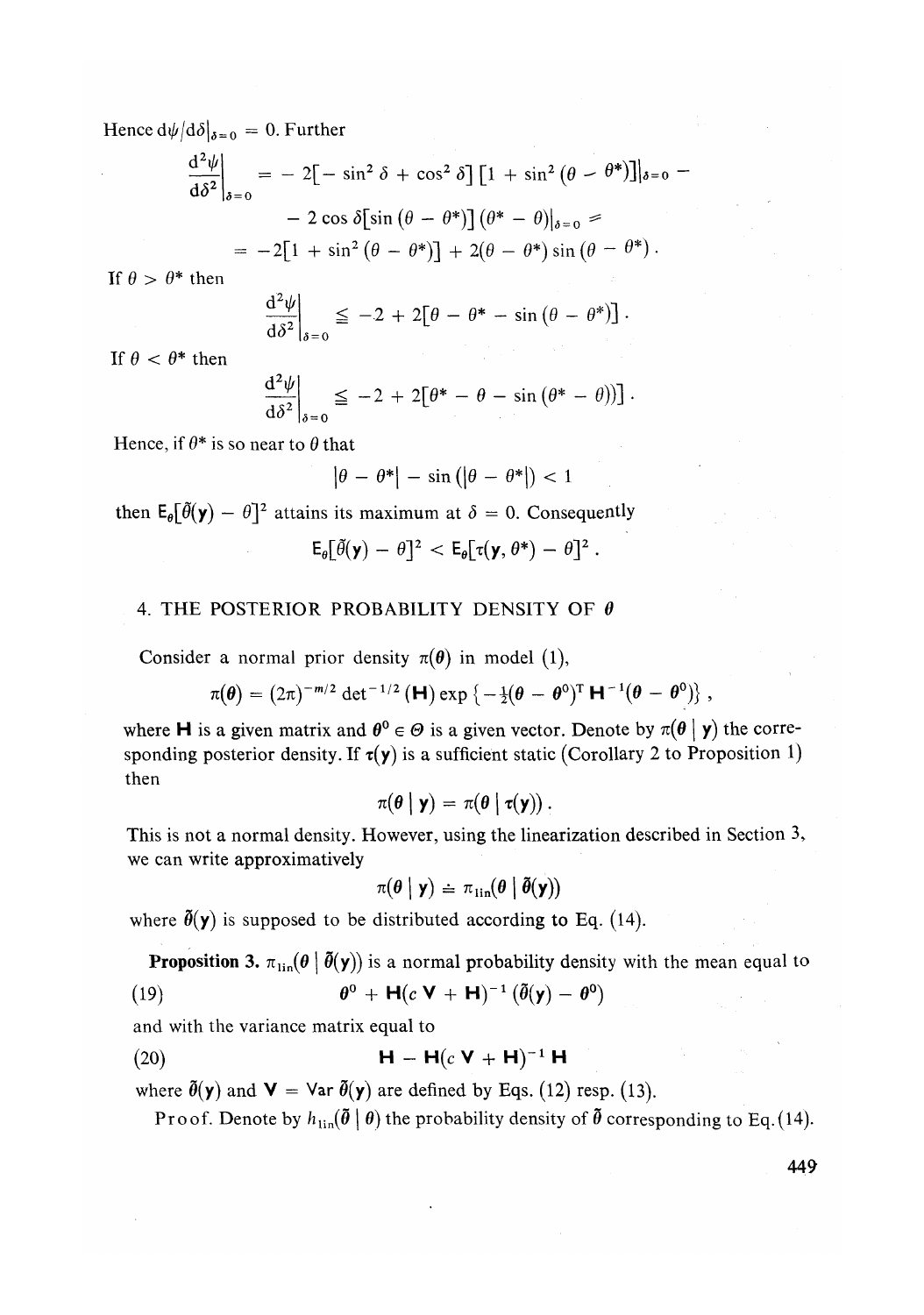Hence  $d\psi/d\delta|_{\delta=0} = 0$ . Further

$$
\frac{d^2\psi}{d\delta^2}\bigg|_{\delta=0} = -2[-\sin^2\delta + \cos^2\delta][1 + \sin^2(\theta - \theta^*)]\bigg|_{\delta=0} -2\cos\delta[\sin(\theta - \theta^*)](\theta^* - \theta)\bigg|_{\delta=0} = -2[1 + \sin^2(\theta - \theta^*)] + 2(\theta - \theta^*)\sin(\theta - \theta^*)\,.
$$

If  $\theta > \theta^*$  then

$$
\left. \frac{\mathrm{d}^2 \psi}{\mathrm{d}\delta^2} \right|_{\delta=0} \leq -2 + 2 \big[ \theta - \theta^* - \sin \left( \theta - \theta^* \right) \big].
$$

If  $\theta < \theta^*$  then

$$
\left. \frac{\mathrm{d}^2 \psi}{\mathrm{d}\delta^2} \right|_{\delta=0} \leq -2 + 2 \big[ \theta^* - \theta - \sin \left( \theta^* - \theta \right) \big] \, .
$$

Hence, if  $\theta^*$  is so near to  $\theta$  that

$$
|\theta - \theta^*| - \sin(|\theta - \theta^*|) < 1
$$

then  $E_{\theta}[\theta(\mathbf{y}) - \theta]^2$  attains its maximum at  $\delta = 0$ . Consequently

$$
\mathsf{E}_{\theta}[\tilde{\theta}(\mathsf{y})-\theta]^2 < \mathsf{E}_{\theta}[\tau(\mathsf{y},\theta^*)-\theta]^2.
$$

# 4. THE POSTERIOR PROBABILITY DENSITY OF  $\theta$

Consider a normal prior density  $\pi(\theta)$  in model (1),

$$
\pi(\boldsymbol{\theta}) = (2\pi)^{-m/2} \det^{-1/2}(\mathbf{H}) \exp \left\{-\frac{1}{2}(\boldsymbol{\theta} - \boldsymbol{\theta}^0)^T \mathbf{H}^{-1}(\boldsymbol{\theta} - \boldsymbol{\theta}^0)\right\},
$$

where **H** is a given matrix and  $\theta^0 \in \Theta$  is a given vector. Denote by  $\pi(\theta | y)$  the corresponding posterior density. If  $\tau(y)$  is a sufficient static (Corollary 2 to Proposition 1) then

$$
\pi(\boldsymbol{\theta} \mid \mathbf{y}) = \pi(\boldsymbol{\theta} \mid \tau(\mathbf{y})).
$$

This is not a normal density. However, using the linearization described in Section 3, we can write approximatively

$$
\pi(\theta | \mathbf{y}) \doteq \pi_{\text{lin}}(\theta | \mathbf{\theta}(\mathbf{y}))
$$

where  $\tilde{\theta}(y)$  is supposed to be distributed according to Eq. (14).

**Proposition 3.**  $\pi_{lin}(\theta | \theta(\mathbf{y}))$  is a normal probability density with the mean equal to (19)  $\theta^0 + \mathbf{H}(c \mathbf{V} + \mathbf{H})^{-1} (\tilde{\theta}(\mathbf{y}) - \theta^0)$ 

and with the variance matrix equal to

$$
(20) \qquad \qquad \mathbf{H} - \mathbf{H}(c\,\mathbf{V} + \mathbf{H})^{-1}\,\mathbf{H}
$$

where  $\tilde{\theta}(\mathbf{y})$  and  $\mathbf{V} = \text{Var } \tilde{\theta}(\mathbf{y})$  are defined by Eqs. (12) resp. (13).

Proof. Denote by  $h_{\text{lin}}(\boldsymbol{\tilde{\theta}} \mid \boldsymbol{\theta})$  the probability density of  $\boldsymbol{\tilde{\theta}}$  corresponding to Eq.(14).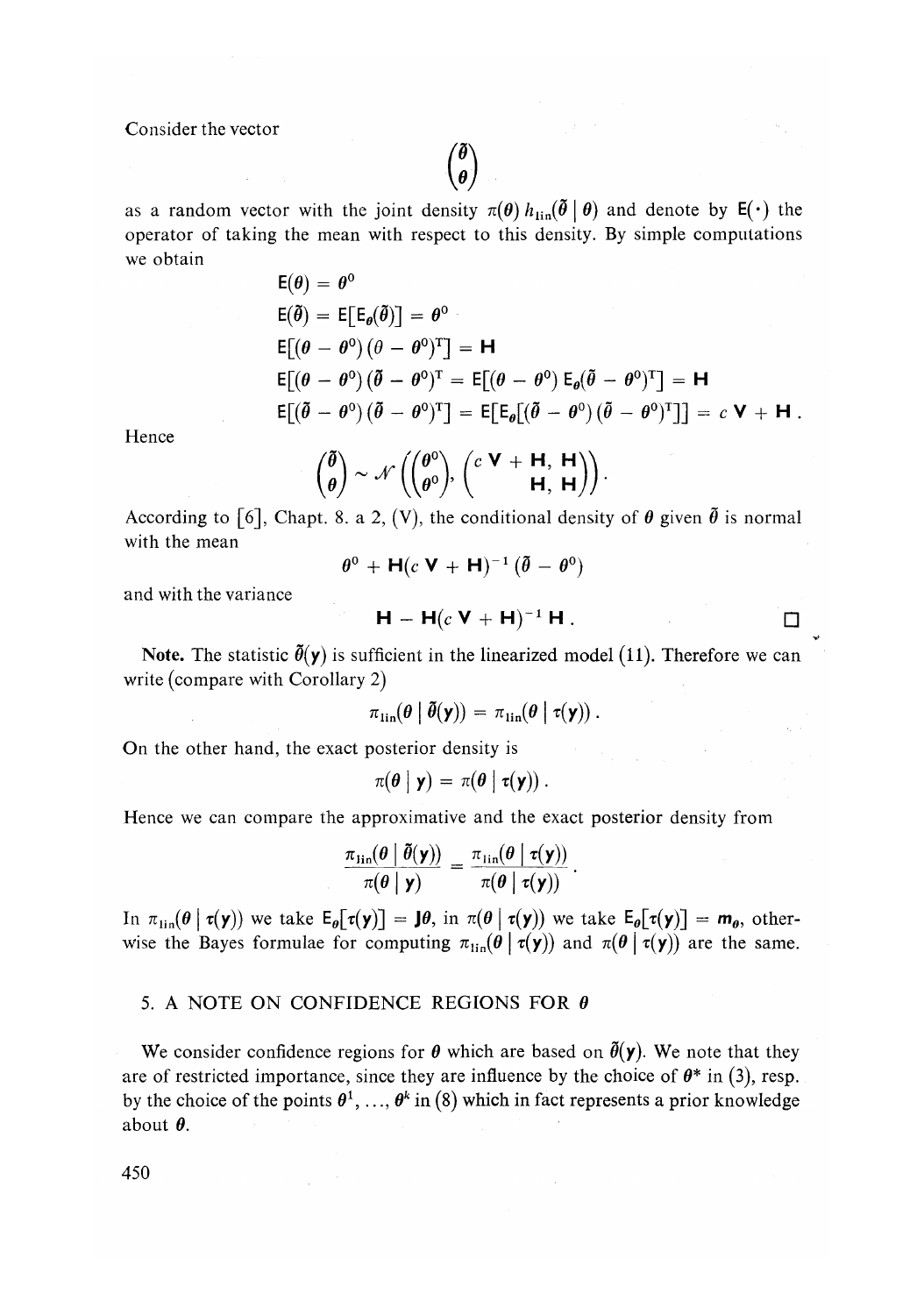Consider the vector

 $\phi$ as a random vector with the joint density  $\pi(\theta) h_{\text{lin}}(\tilde{\theta} | \theta)$  and denote by  $E(\cdot)$  the operator of taking the mean with respect to this density. By simple computations we obtain

$$
E(\theta) = \theta^0
$$
  
\n
$$
E(\tilde{\theta}) = E[E_{\theta}(\tilde{\theta})] = \theta^0
$$
  
\n
$$
E[(\theta - \theta^0)(\theta - \theta^0)^T] = H
$$
  
\n
$$
E[(\theta - \theta^0)(\tilde{\theta} - \theta^0)^T = E[(\theta - \theta^0)E_{\theta}(\tilde{\theta} - \theta^0)^T] = H
$$
  
\n
$$
E[(\tilde{\theta} - \theta^0)(\tilde{\theta} - \theta^0)^T] = E[E_{\theta}[(\tilde{\theta} - \theta^0)(\tilde{\theta} - \theta^0)^T]] = c \mathbf{V} + \mathbf{H}.
$$

Hence

$$
\begin{pmatrix} \boldsymbol{\tilde{\theta}} \\ \boldsymbol{\theta} \end{pmatrix} \sim \mathcal{N} \left( \begin{pmatrix} \boldsymbol{\theta}^0 \\ \boldsymbol{\theta}^0 \end{pmatrix}, \begin{pmatrix} c & \mathbf{V} + \mathbf{H}, \ \mathbf{H}, \ \mathbf{H}, \ \mathbf{H} \\ \mathbf{H}, \ \mathbf{H} \end{pmatrix} \right).
$$

According to [6], Chapt. 8. a 2, (V), the conditional density of  $\theta$  given  $\tilde{\theta}$  is normal with the mean

$$
\theta^0 + \mathsf{H}(c\mathsf{V} + \mathsf{H})^{-1}(\tilde{\theta} - \theta^0)
$$

and with the variance

$$
\mathbf{H} - \mathbf{H}(c\,\mathbf{V} + \mathbf{H})^{-1}\,\mathbf{H} \,.
$$

**Note.** The statistic  $\tilde{\theta}(y)$  is sufficient in the linearized model (11). Therefore we can write (compare with Corollary 2)

$$
\pi_{\text{lin}}(\theta \mid \tilde{\theta}(\mathbf{y})) = \pi_{\text{lin}}(\theta \mid \tau(\mathbf{y}))
$$
.

On the other hand, the exact posterior density is

$$
\pi(\boldsymbol{\theta} \mid \mathbf{y}) = \pi(\boldsymbol{\theta} \mid \boldsymbol{\tau}(\mathbf{y})).
$$

Hence we can compare the approximative and the exact posterior density from

$$
\frac{\pi_{\mathrm{lin}}(\theta \mid \tilde{\theta}(\mathbf{y}))}{\pi(\theta \mid \mathbf{y})} = \frac{\pi_{\mathrm{lin}}(\theta \mid \tau(\mathbf{y}))}{\pi(\theta \mid \tau(\mathbf{y}))}.
$$

In  $\pi_{\text{lin}}(\theta | \tau(\mathbf{y}))$  we take  $E_{\theta}[\tau(\mathbf{y})] = \mathbf{J}\theta$ , in  $\pi(\theta | \tau(\mathbf{y}))$  we take  $E_{\theta}[\tau(\mathbf{y})] = \mathbf{m}_{\theta}$ , otherwise the Bayes formulae for computing  $\pi_{\text{lin}}(\theta | \tau(\mathbf{y}))$  and  $\pi(\theta | \tau(\mathbf{y}))$  are the same.

## 5. A NOTE ON CONFIDENCE REGIONS FOR  $\theta$

We consider confidence regions for  $\theta$  which are based on  $\bar{\theta}(\mathbf{y})$ . We note that they are of restricted importance, since they are influence by the choice of  $\theta^*$  in (3), resp. by the choice of the points  $\theta^1, \ldots, \theta^k$  in (8) which in fact represents a prior knowledge about  $\theta$ .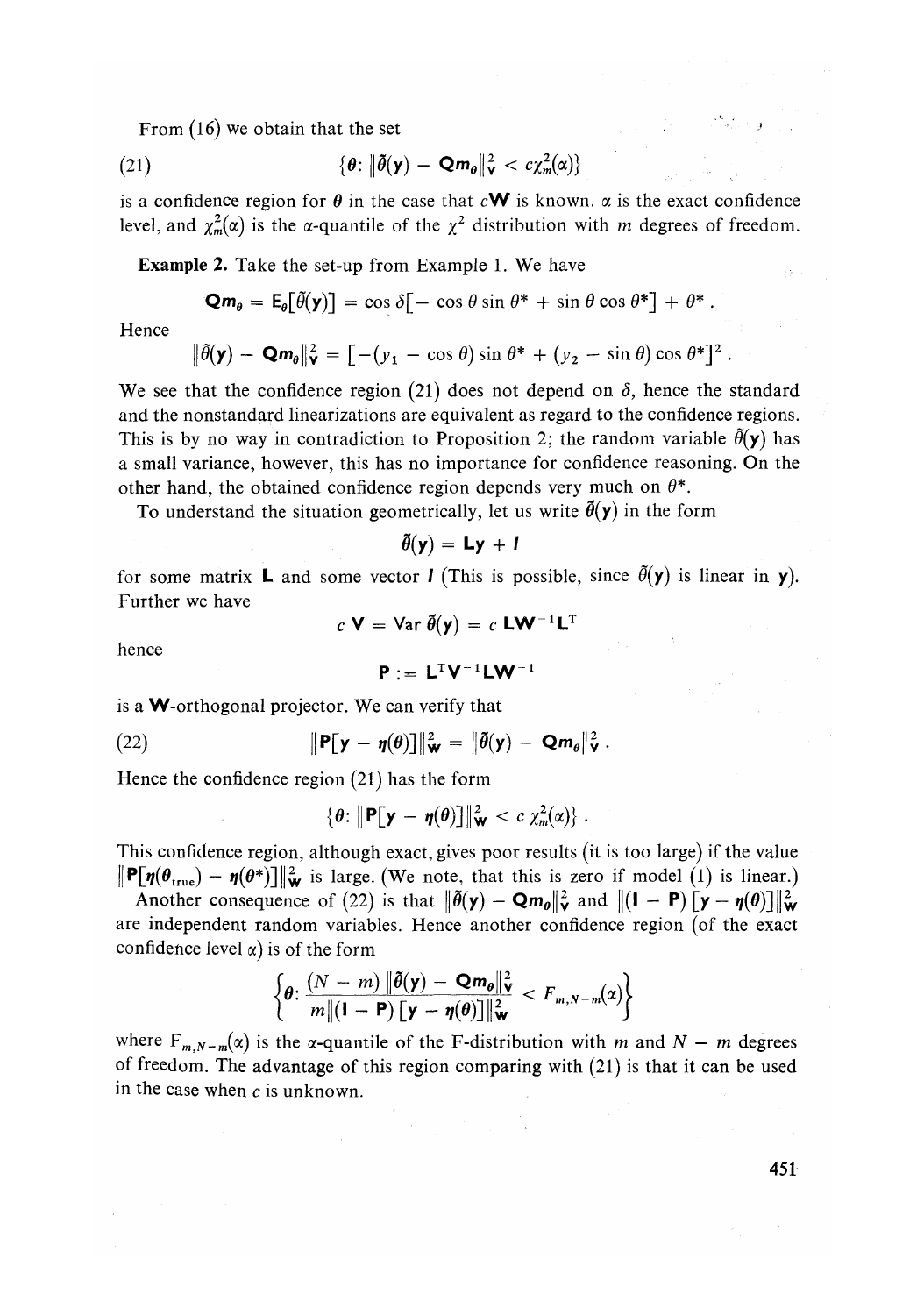From  $(16)$  we obtain that the set

(21) 
$$
\{\boldsymbol{\theta}: \|\boldsymbol{\tilde{\theta}}(\mathbf{y}) - \mathbf{Q}\mathbf{m}_{\boldsymbol{\theta}}\|_{\mathbf{V}}^2 < c\chi_m^2(\alpha)\}
$$

is a confidence region for  $\theta$  in the case that  $cW$  is known,  $\alpha$  is the exact confidence level, and  $\chi^2_m(\alpha)$  is the *α*-quantile of the  $\chi^2$  distribution with *m* degrees of freedom.

Example 2. Take the set-up from Example 1. We have

$$
\mathbf{Q}\mathbf{m}_{\theta} = \mathbf{E}_{\theta}[\tilde{\theta}(\mathbf{y})] = \cos \delta[-\cos \theta \sin \theta^* + \sin \theta \cos \theta^*] + \theta^*.
$$

Hence

$$
\|\tilde{\theta}(\mathbf{y}) - \mathbf{Q}\mathbf{m}_{\theta}\|_{\mathbf{V}}^2 = \left[ -(y_1 - \cos \theta) \sin \theta^* + (y_2 - \sin \theta) \cos \theta^* \right]^2.
$$

We see that the confidence region (21) does not depend on  $\delta$ , hence the standard and the nonstandard linearizations are equivalent as regard to the confidence regions. This is by no way in contradiction to Proposition 2; the random variable  $\bar{\theta}(\mathbf{y})$  has a small variance, however, this has no importance for confidence reasoning. On the other hand, the obtained confidence region depends very much on  $\theta^*$ .

To understand the situation geometrically, let us write  $\bar{\theta}(y)$  in the form

$$
\bar{\theta}(\mathbf{y}) = \mathbf{L}\mathbf{y} + \mathbf{I}
$$

for some matrix **L** and some vector **I** (This is possible, since  $\tilde{\theta}(\mathbf{y})$  is linear in **y**). Further we have

hence

$$
c \mathbf{V} = \text{Var } \tilde{\theta}(\mathbf{y}) = c \mathbf{L} \mathbf{W}^{-1} \mathbf{L}^{\mathrm{T}}
$$

$$
\mathbf{P} := \mathbf{L}^T \mathbf{V}^{-1} \mathbf{L} \mathbf{W}^{-1}
$$

is a W-orthogonal projector. We can verify that

(22) 
$$
\|\mathbf{P}[\mathbf{y}-\boldsymbol{\eta}(\boldsymbol{\theta})]\|_{\mathbf{W}}^2 = \|\boldsymbol{\tilde{\theta}}(\mathbf{y}) - \mathbf{Q}\mathbf{m}_{\boldsymbol{\theta}}\|_{\mathbf{V}}^2.
$$

Hence the confidence region (21) has the form

$$
\{\boldsymbol{\theta}\colon \|\mathbf{P}[\mathbf{y}-\boldsymbol{\eta}(\boldsymbol{\theta})]\|_{\mathbf{W}}^2 < c \chi_m^2(\alpha)\}.
$$

This confidence region, although exact, gives poor results (it is too large) if the value  $\|\mathbf{P}[\eta(\theta_{\text{true}}) - \eta(\theta^*)]\|_{\mathcal{H}}^2$  is large. (We note, that this is zero if model (1) is linear.)

Another consequence of (22) is that  $\|\tilde{\theta}(\mathsf{y}) - \mathsf{Q}\mathsf{m}_{\theta}\|_{\mathsf{y}}^2$  and  $\|(I - P)\|_{\mathsf{y}} - \eta(\theta)\|_{\mathsf{w}}^2$ are independent random variables. Hence another confidence region (of the exact confidence level  $\alpha$ ) is of the form

$$
\left\{\theta\colon \frac{(N-m)\|\tilde{\theta}(\mathbf{y})-\mathbf{Q}\mathbf{m}_{\theta}\|_{\mathbf{Y}}^{2}}{m\|(1-\mathbf{P})\left[\mathbf{y}-\boldsymbol{\eta}(\theta)\right]\|_{\mathbf{W}}^{2}}
$$

where  $F_{m,N-m}(\alpha)$  is the  $\alpha$ -quantile of the F-distribution with m and  $N - m$  degrees of freedom. The advantage of this region comparing with (21) is that it can be used in the case when  $c$  is unknown.